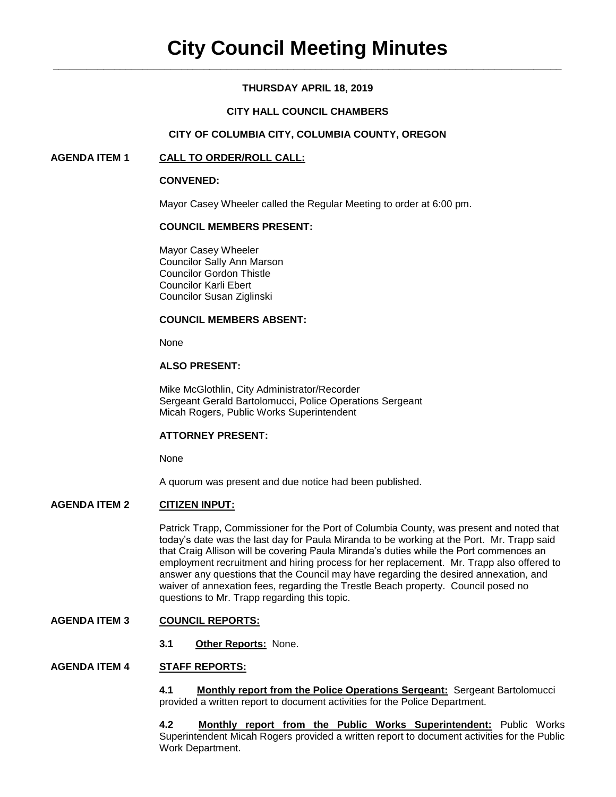# **THURSDAY APRIL 18, 2019**

# **CITY HALL COUNCIL CHAMBERS**

# **CITY OF COLUMBIA CITY, COLUMBIA COUNTY, OREGON**

# **AGENDA ITEM 1 CALL TO ORDER/ROLL CALL:**

# **CONVENED:**

Mayor Casey Wheeler called the Regular Meeting to order at 6:00 pm.

# **COUNCIL MEMBERS PRESENT:**

Mayor Casey Wheeler Councilor Sally Ann Marson Councilor Gordon Thistle Councilor Karli Ebert Councilor Susan Ziglinski

# **COUNCIL MEMBERS ABSENT:**

None

# **ALSO PRESENT:**

Mike McGlothlin, City Administrator/Recorder Sergeant Gerald Bartolomucci, Police Operations Sergeant Micah Rogers, Public Works Superintendent

# **ATTORNEY PRESENT:**

None

A quorum was present and due notice had been published.

# **AGENDA ITEM 2 CITIZEN INPUT:**

Patrick Trapp, Commissioner for the Port of Columbia County, was present and noted that today's date was the last day for Paula Miranda to be working at the Port. Mr. Trapp said that Craig Allison will be covering Paula Miranda's duties while the Port commences an employment recruitment and hiring process for her replacement. Mr. Trapp also offered to answer any questions that the Council may have regarding the desired annexation, and waiver of annexation fees, regarding the Trestle Beach property. Council posed no questions to Mr. Trapp regarding this topic.

# **AGENDA ITEM 3 COUNCIL REPORTS:**

**3.1 Other Reports:** None.

# **AGENDA ITEM 4 STAFF REPORTS:**

**4.1 Monthly report from the Police Operations Sergeant:** Sergeant Bartolomucci provided a written report to document activities for the Police Department.

**4.2 Monthly report from the Public Works Superintendent:** Public Works Superintendent Micah Rogers provided a written report to document activities for the Public Work Department.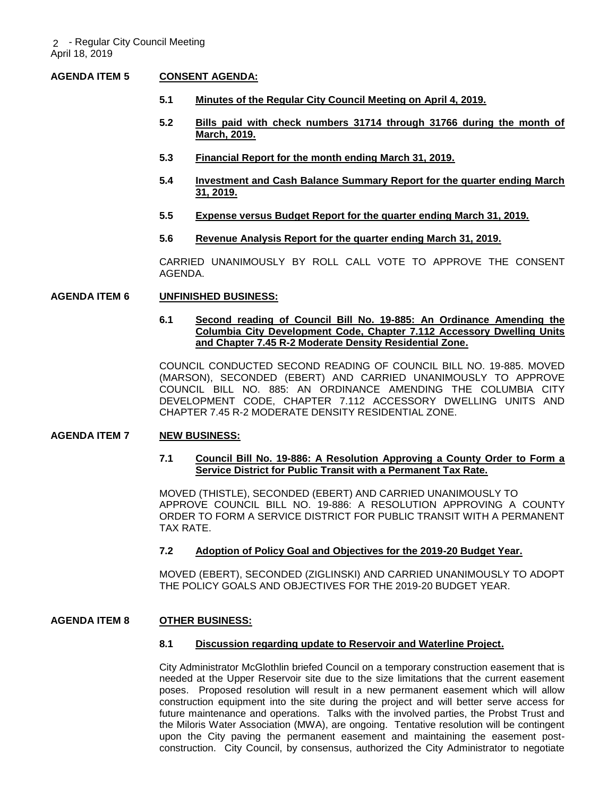# **AGENDA ITEM 5 CONSENT AGENDA:**

- **5.1 Minutes of the Regular City Council Meeting on April 4, 2019.**
- **5.2 Bills paid with check numbers 31714 through 31766 during the month of March, 2019.**
- **5.3 Financial Report for the month ending March 31, 2019.**
- **5.4 Investment and Cash Balance Summary Report for the quarter ending March 31, 2019.**
- **5.5 Expense versus Budget Report for the quarter ending March 31, 2019.**
- **5.6 Revenue Analysis Report for the quarter ending March 31, 2019.**

CARRIED UNANIMOUSLY BY ROLL CALL VOTE TO APPROVE THE CONSENT AGENDA.

## **AGENDA ITEM 6 UNFINISHED BUSINESS:**

#### **6.1 Second reading of Council Bill No. 19-885: An Ordinance Amending the Columbia City Development Code, Chapter 7.112 Accessory Dwelling Units and Chapter 7.45 R-2 Moderate Density Residential Zone.**

COUNCIL CONDUCTED SECOND READING OF COUNCIL BILL NO. 19-885. MOVED (MARSON), SECONDED (EBERT) AND CARRIED UNANIMOUSLY TO APPROVE COUNCIL BILL NO. 885: AN ORDINANCE AMENDING THE COLUMBIA CITY DEVELOPMENT CODE, CHAPTER 7.112 ACCESSORY DWELLING UNITS AND CHAPTER 7.45 R-2 MODERATE DENSITY RESIDENTIAL ZONE.

# **AGENDA ITEM 7 NEW BUSINESS:**

# **7.1 Council Bill No. 19-886: A Resolution Approving a County Order to Form a Service District for Public Transit with a Permanent Tax Rate.**

MOVED (THISTLE), SECONDED (EBERT) AND CARRIED UNANIMOUSLY TO APPROVE COUNCIL BILL NO. 19-886: A RESOLUTION APPROVING A COUNTY ORDER TO FORM A SERVICE DISTRICT FOR PUBLIC TRANSIT WITH A PERMANENT TAX RATE.

# **7.2 Adoption of Policy Goal and Objectives for the 2019-20 Budget Year.**

MOVED (EBERT), SECONDED (ZIGLINSKI) AND CARRIED UNANIMOUSLY TO ADOPT THE POLICY GOALS AND OBJECTIVES FOR THE 2019-20 BUDGET YEAR.

# **AGENDA ITEM 8 OTHER BUSINESS:**

#### **8.1 Discussion regarding update to Reservoir and Waterline Project.**

City Administrator McGlothlin briefed Council on a temporary construction easement that is needed at the Upper Reservoir site due to the size limitations that the current easement poses. Proposed resolution will result in a new permanent easement which will allow construction equipment into the site during the project and will better serve access for future maintenance and operations. Talks with the involved parties, the Probst Trust and the Miloris Water Association (MWA), are ongoing. Tentative resolution will be contingent upon the City paving the permanent easement and maintaining the easement postconstruction. City Council, by consensus, authorized the City Administrator to negotiate